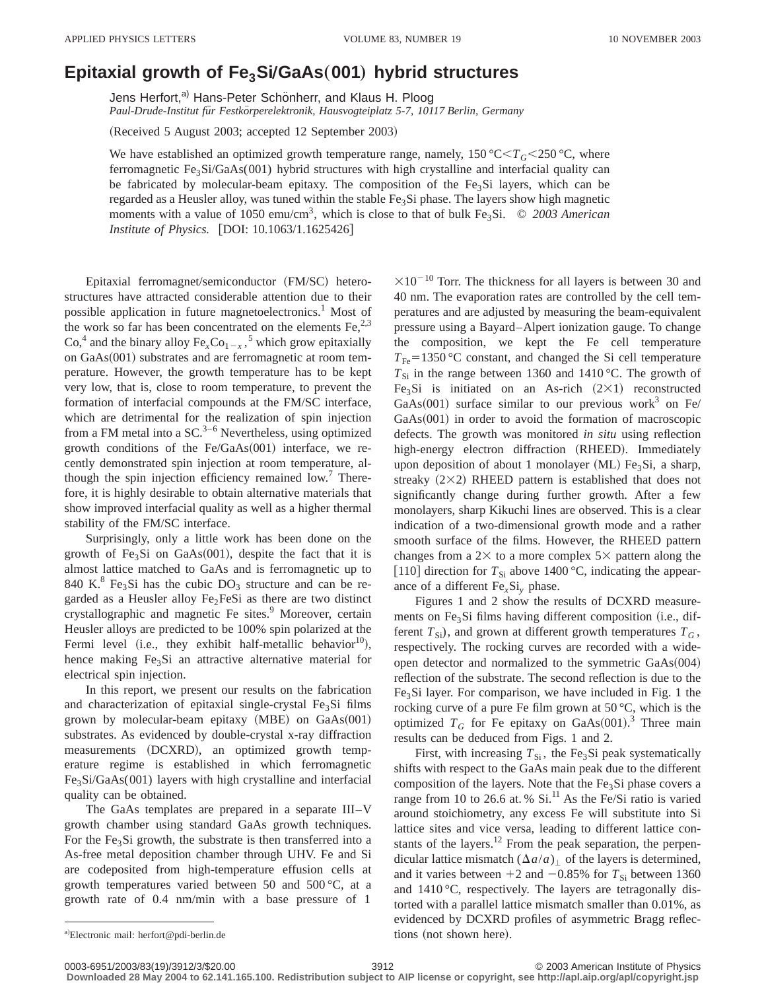## **Epitaxial growth of Fe3SiÕGaAs**"**001**… **hybrid structures**

Jens Herfort,<sup>a)</sup> Hans-Peter Schönherr, and Klaus H. Ploog *Paul-Drude-Institut fu¨r Festko¨rperelektronik, Hausvogteiplatz 5-7, 10117 Berlin, Germany*

(Received 5 August 2003; accepted 12 September 2003)

We have established an optimized growth temperature range, namely,  $150 \,^{\circ}\text{C} \leq T_G \leq 250 \,^{\circ}\text{C}$ , where ferromagnetic Fe<sub>3</sub>Si/GaAs(001) hybrid structures with high crystalline and interfacial quality can be fabricated by molecular-beam epitaxy. The composition of the  $Fe<sub>3</sub>Si$  layers, which can be regarded as a Heusler alloy, was tuned within the stable Fe<sub>3</sub>Si phase. The layers show high magnetic moments with a value of 1050 emu/cm<sup>3</sup>, which is close to that of bulk Fe<sub>3</sub>Si. © 2003 American *Institute of Physics.* [DOI: 10.1063/1.1625426]

Epitaxial ferromagnet/semiconductor (FM/SC) heterostructures have attracted considerable attention due to their possible application in future magnetoelectronics.<sup>1</sup> Most of the work so far has been concentrated on the elements  $Fe<sup>2,3</sup>$ ,  $Co<sup>4</sup>$  and the binary alloy  $Fe<sub>x</sub>Co<sub>1-x</sub>$ ,<sup>5</sup> which grow epitaxially on  $GaAs(001)$  substrates and are ferromagnetic at room temperature. However, the growth temperature has to be kept very low, that is, close to room temperature, to prevent the formation of interfacial compounds at the FM/SC interface, which are detrimental for the realization of spin injection from a FM metal into a  $SC^{3-6}$  Nevertheless, using optimized growth conditions of the Fe/GaAs $(001)$  interface, we recently demonstrated spin injection at room temperature, although the spin injection efficiency remained low.<sup>7</sup> Therefore, it is highly desirable to obtain alternative materials that show improved interfacial quality as well as a higher thermal stability of the FM/SC interface.

Surprisingly, only a little work has been done on the growth of Fe<sub>3</sub>Si on GaAs $(001)$ , despite the fact that it is almost lattice matched to GaAs and is ferromagnetic up to 840 K.<sup>8</sup> Fe<sub>3</sub>Si has the cubic DO<sub>3</sub> structure and can be regarded as a Heusler alloy  $Fe<sub>2</sub>FeSi$  as there are two distinct crystallographic and magnetic Fe sites.<sup>9</sup> Moreover, certain Heusler alloys are predicted to be 100% spin polarized at the Fermi level (i.e., they exhibit half-metallic behavior<sup>10</sup>), hence making  $Fe<sub>3</sub>Si$  an attractive alternative material for electrical spin injection.

In this report, we present our results on the fabrication and characterization of epitaxial single-crystal  $Fe<sub>3</sub>Si$  films grown by molecular-beam epitaxy  $(MBE)$  on  $GaAs(001)$ substrates. As evidenced by double-crystal x-ray diffraction measurements (DCXRD), an optimized growth temperature regime is established in which ferromagnetic Fe<sub>3</sub>Si/GaAs(001) layers with high crystalline and interfacial quality can be obtained.

The GaAs templates are prepared in a separate III–V growth chamber using standard GaAs growth techniques. For the Fe<sub>3</sub>Si growth, the substrate is then transferred into a As-free metal deposition chamber through UHV. Fe and Si are codeposited from high-temperature effusion cells at growth temperatures varied between 50 and 500 °C, at a growth rate of 0.4 nm/min with a base pressure of 1

 $\times 10^{-10}$  Torr. The thickness for all layers is between 30 and 40 nm. The evaporation rates are controlled by the cell temperatures and are adjusted by measuring the beam-equivalent pressure using a Bayard–Alpert ionization gauge. To change the composition, we kept the Fe cell temperature  $T_{\text{Fe}}$ =1350 °C constant, and changed the Si cell temperature  $T_{Si}$  in the range between 1360 and 1410 °C. The growth of Fe<sub>3</sub>Si is initiated on an As-rich  $(2\times1)$  reconstructed GaAs $(001)$  surface similar to our previous work<sup>3</sup> on Fe/  $GaAs(001)$  in order to avoid the formation of macroscopic defects. The growth was monitored *in situ* using reflection high-energy electron diffraction (RHEED). Immediately upon deposition of about 1 monolayer (ML) Fe<sub>3</sub>Si, a sharp, streaky  $(2\times2)$  RHEED pattern is established that does not significantly change during further growth. After a few monolayers, sharp Kikuchi lines are observed. This is a clear indication of a two-dimensional growth mode and a rather smooth surface of the films. However, the RHEED pattern changes from a  $2 \times$  to a more complex  $5 \times$  pattern along the [110] direction for  $T_{Si}$  above 1400 °C, indicating the appearance of a different Fe*x*Si*<sup>y</sup>* phase.

Figures 1 and 2 show the results of DCXRD measurements on  $Fe<sub>3</sub>Si$  films having different composition (i.e., different  $T_{\text{Si}}$ ), and grown at different growth temperatures  $T_G$ , respectively. The rocking curves are recorded with a wideopen detector and normalized to the symmetric  $GaAs(004)$ reflection of the substrate. The second reflection is due to the  $Fe<sub>3</sub>Si$  layer. For comparison, we have included in Fig. 1 the rocking curve of a pure Fe film grown at 50 °C, which is the optimized  $T_G$  for Fe epitaxy on GaAs $(001)$ .<sup>3</sup> Three main results can be deduced from Figs. 1 and 2.

First, with increasing  $T_{Si}$ , the Fe<sub>3</sub>Si peak systematically shifts with respect to the GaAs main peak due to the different composition of the layers. Note that the  $Fe<sub>3</sub>Si$  phase covers a range from 10 to 26.6 at. %  $Si$ <sup>11</sup> As the Fe/Si ratio is varied around stoichiometry, any excess Fe will substitute into Si lattice sites and vice versa, leading to different lattice constants of the layers.<sup>12</sup> From the peak separation, the perpendicular lattice mismatch  $(\Delta a/a)_{\perp}$  of the layers is determined, and it varies between  $+2$  and  $-0.85\%$  for  $T_{Si}$  between 1360 and 1410 °C, respectively. The layers are tetragonally distorted with a parallel lattice mismatch smaller than 0.01%, as evidenced by DCXRD profiles of asymmetric Bragg reflec-

**Downloaded 28 May 2004 to 62.141.165.100. Redistribution subject to AIP license or copyright, see http://apl.aip.org/apl/copyright.jsp**

a)Electronic mail: herfort@pdi-berlin.de tions (not shown here).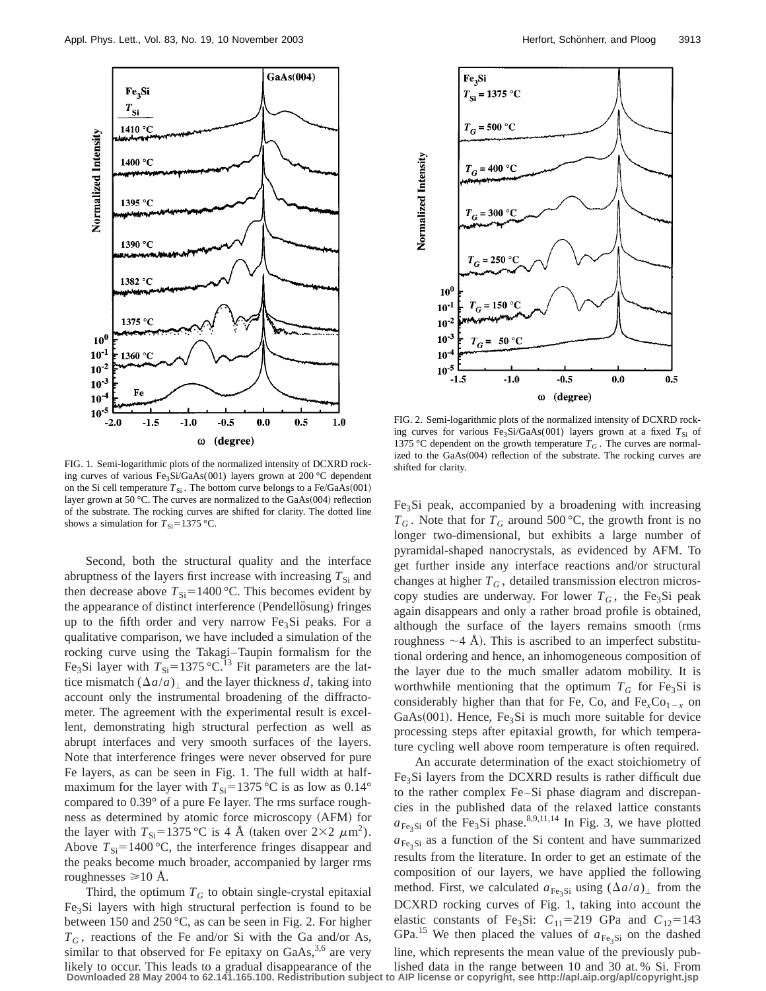

FIG. 1. Semi-logarithmic plots of the normalized intensity of DCXRD rocking curves of various Fe<sub>3</sub>Si/GaAs(001) layers grown at 200 °C dependent on the Si cell temperature  $T_{Si}$ . The bottom curve belongs to a Fe/GaAs(001) layer grown at 50 °C. The curves are normalized to the GaAs $(004)$  reflection of the substrate. The rocking curves are shifted for clarity. The dotted line shows a simulation for  $T_{\text{Si}}=1375 \text{ °C}$ .

Second, both the structural quality and the interface abruptness of the layers first increase with increasing  $T_{\rm Si}$  and then decrease above  $T_{\text{Si}}$ =1400 °C. This becomes evident by the appearance of distinct interference (Pendellosung) fringes up to the fifth order and very narrow  $Fe<sub>3</sub>Si$  peaks. For a qualitative comparison, we have included a simulation of the rocking curve using the Takagi–Taupin formalism for the Fe<sub>3</sub>Si layer with  $T_{\text{Si}}$ =1375 °C.<sup>13</sup> Fit parameters are the lattice mismatch  $(\Delta a/a)$  and the layer thickness *d*, taking into account only the instrumental broadening of the diffractometer. The agreement with the experimental result is excellent, demonstrating high structural perfection as well as abrupt interfaces and very smooth surfaces of the layers. Note that interference fringes were never observed for pure Fe layers, as can be seen in Fig. 1. The full width at halfmaximum for the layer with  $T_{Si} = 1375$  °C is as low as 0.14° compared to 0.39° of a pure Fe layer. The rms surface roughness as determined by atomic force microscopy (AFM) for the layer with  $T_{\text{Si}}=1375 \text{ °C}$  is 4 Å (taken over  $2\times2 \ \mu \text{m}^2$ ). Above  $T_{\text{Si}}$ =1400 °C, the interference fringes disappear and the peaks become much broader, accompanied by larger rms roughnesses  $\geq 10$  Å.

Third, the optimum  $T_G$  to obtain single-crystal epitaxial Fe3Si layers with high structural perfection is found to be between 150 and 250 °C, as can be seen in Fig. 2. For higher  $T_G$ , reactions of the Fe and/or Si with the Ga and/or As, similar to that observed for Fe epitaxy on  $GaAs$ ,<sup>3,6</sup> are very likely to occur. This leads to a gradual disappearance of the lished data in the range between 10 and 30 at. % Si. From<br>Downloaded 28 May 2004 to 62.141.165.100. Redistribution subject to AlP license or copyright, see http



FIG. 2. Semi-logarithmic plots of the normalized intensity of DCXRD rocking curves for various Fe<sub>3</sub>Si/GaAs(001) layers grown at a fixed  $T_{Si}$  of 1375 °C dependent on the growth temperature  $T_G$ . The curves are normalized to the  $GaAs(004)$  reflection of the substrate. The rocking curves are shifted for clarity.

Fe3Si peak, accompanied by a broadening with increasing  $T_G$ . Note that for  $T_G$  around 500 °C, the growth front is no longer two-dimensional, but exhibits a large number of pyramidal-shaped nanocrystals, as evidenced by AFM. To get further inside any interface reactions and/or structural changes at higher  $T_G$ , detailed transmission electron microscopy studies are underway. For lower  $T_G$ , the Fe<sub>3</sub>Si peak again disappears and only a rather broad profile is obtained, although the surface of the layers remains smooth (rms roughness  $\sim$ 4 Å). This is ascribed to an imperfect substitutional ordering and hence, an inhomogeneous composition of the layer due to the much smaller adatom mobility. It is worthwhile mentioning that the optimum  $T_G$  for Fe<sub>3</sub>Si is considerably higher than that for Fe, Co, and  $Fe<sub>x</sub>Co<sub>1-x</sub>$  on GaAs $(001)$ . Hence, Fe<sub>3</sub>Si is much more suitable for device processing steps after epitaxial growth, for which temperature cycling well above room temperature is often required.

An accurate determination of the exact stoichiometry of Fe3Si layers from the DCXRD results is rather difficult due to the rather complex Fe–Si phase diagram and discrepancies in the published data of the relaxed lattice constants  $a_{\text{Fe}_2\text{Si}}$  of the Fe<sub>3</sub>Si phase.<sup>8,9,11,14</sup> In Fig. 3, we have plotted  $a_{\text{Fe-Si}}$  as a function of the Si content and have summarized results from the literature. In order to get an estimate of the composition of our layers, we have applied the following method. First, we calculated  $a_{Fe,Si}$  using  $(\Delta a/a)_{\perp}$  from the DCXRD rocking curves of Fig. 1, taking into account the elastic constants of Fe<sub>3</sub>Si:  $C_{11}$ =219 GPa and  $C_{12}$ =143 GPa.<sup>15</sup> We then placed the values of  $a_{Fe_3Si}$  on the dashed line, which represents the mean value of the previously pub-